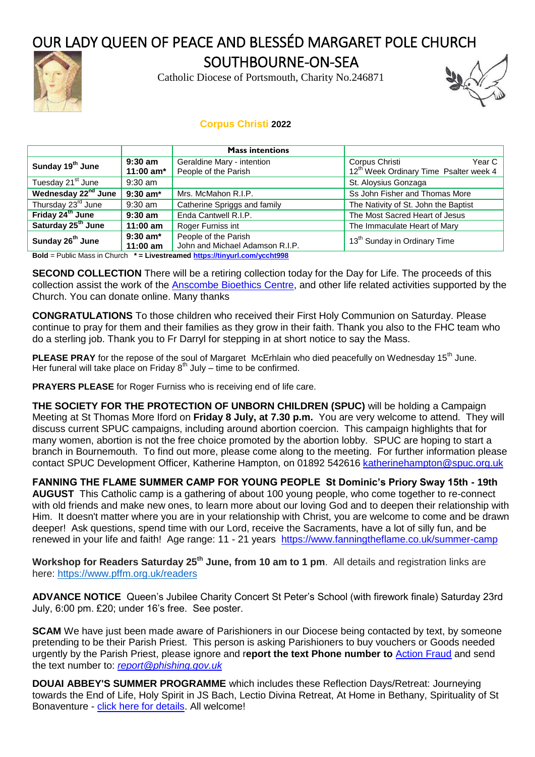## OUR LADY QUEEN OF PEACE AND BLESSÉD MARGARET POLE CHURCH



SOUTHBOURNE-ON-SEA

Catholic Diocese of Portsmouth, Charity No.246871



## **Corpus Christi 2022**

|                                 |                                                                                                                                                                                  | <b>Mass intentions</b>                             |                                                                                  |  |
|---------------------------------|----------------------------------------------------------------------------------------------------------------------------------------------------------------------------------|----------------------------------------------------|----------------------------------------------------------------------------------|--|
| Sunday 19 <sup>th</sup> June    | $9:30$ am<br>11:00 $am*$                                                                                                                                                         | Geraldine Mary - intention<br>People of the Parish | Corpus Christi<br>Year C I<br>12 <sup>th</sup> Week Ordinary Time Psalter week 4 |  |
| Tuesday 21 <sup>st</sup> June   | $9:30$ am                                                                                                                                                                        | St. Aloysius Gonzaga                               |                                                                                  |  |
| Wednesday 22 <sup>nd</sup> June | $9:30$ am*                                                                                                                                                                       | Mrs. McMahon R.I.P.                                | Ss John Fisher and Thomas More                                                   |  |
| Thursday 23rd June              | $9:30$ am                                                                                                                                                                        | Catherine Spriggs and family                       | The Nativity of St. John the Baptist                                             |  |
| Friday 24 <sup>th</sup> June    | $9:30$ am                                                                                                                                                                        | Enda Cantwell R.I.P.                               | The Most Sacred Heart of Jesus                                                   |  |
| Saturday 25 <sup>th</sup> June  | $11:00$ am                                                                                                                                                                       | Roger Furniss int                                  | The Immaculate Heart of Mary                                                     |  |
| Sunday 26 <sup>th</sup> June    | People of the Parish<br>$9:30$ am*<br>John and Michael Adamson R.I.P.<br>$11:00 \text{ am}$<br><b>B</b> ald B.d.P. Mass to Observe A. Theorem and then a Helmand conclusible AAA |                                                    | 13 <sup>th</sup> Sunday in Ordinary Time                                         |  |

**Bold** = Public Mass in Church **\* = Livestreamed <https://tinyurl.com/yccht998>**

**SECOND COLLECTION** There will be a retiring collection today for the Day for Life. The proceeds of this collection assist the work of the [Anscombe Bioethics Centre,](https://www.bioethics.org.uk/) and other life related activities supported by the Church. You can donate online. Many thanks

**CONGRATULATIONS** To those children who received their First Holy Communion on Saturday. Please continue to pray for them and their families as they grow in their faith. Thank you also to the FHC team who do a sterling job. Thank you to Fr Darryl for stepping in at short notice to say the Mass.

**PLEASE PRAY** for the repose of the soul of Margaret McErhlain who died peacefully on Wednesday 15<sup>th</sup> June. Her funeral will take place on Friday  $8^{th}$  July – time to be confirmed.

**PRAYERS PLEASE** for Roger Furniss who is receiving end of life care.

**THE SOCIETY FOR THE PROTECTION OF UNBORN CHILDREN (SPUC)** will be holding a Campaign Meeting at St Thomas More Iford on **Friday 8 July, at 7.30 p.m.** You are very welcome to attend. They will discuss current SPUC campaigns, including around abortion coercion. This campaign highlights that for many women, abortion is not the free choice promoted by the abortion lobby. SPUC are hoping to start a branch in Bournemouth. To find out more, please come along to the meeting. For further information please contact SPUC Development Officer, Katherine Hampton, on 01892 542616 [katherinehampton@spuc.org.uk](mailto:katherinehampton@spuc.org.uk)

**FANNING THE FLAME SUMMER CAMP FOR YOUNG PEOPLE St Dominic's Priory Sway 15th - 19th AUGUST** This Catholic camp is a gathering of about 100 young people, who come together to re-connect with old friends and make new ones, to learn more about our loving God and to deepen their relationship with Him. It doesn't matter where you are in your relationship with Christ, you are welcome to come and be drawn deeper! Ask questions, spend time with our Lord, receive the Sacraments, have a lot of silly fun, and be renewed in your life and faith! Age range: 11 - 21 years <https://www.fanningtheflame.co.uk/summer-camp>

**Workshop for Readers Saturday 25th June, from 10 am to 1 pm**. All details and registration links are here: <https://www.pffm.org.uk/readers>

**ADVANCE NOTICE** Queen's Jubilee Charity Concert St Peter's School (with firework finale) Saturday 23rd July, 6:00 pm. £20; under 16's free. See poster.

**SCAM** We have just been made aware of Parishioners in our Diocese being contacted by text, by someone pretending to be their Parish Priest. This person is asking Parishioners to buy vouchers or Goods needed urgently by the Parish Priest, please ignore and r**eport the text Phone number to** [Action Fraud](https://reporting.actionfraud.police.uk/login) and send the text number to: *[report@phishing.gov.uk](mailto:report@phishing.gov.uk)*

**DOUAI ABBEY'S SUMMER PROGRAMME** which includes these Reflection Days/Retreat: Journeying towards the End of Life, Holy Spirit in JS Bach, Lectio Divina Retreat, At Home in Bethany, Spirituality of St Bonaventure - [click here for details.](https://portsmouthdiocese.us8.list-manage.com/track/click?u=04bcc8430c87c5529461e65e6&id=1d7bdee9cd&e=d7ed19beb9) All welcome!